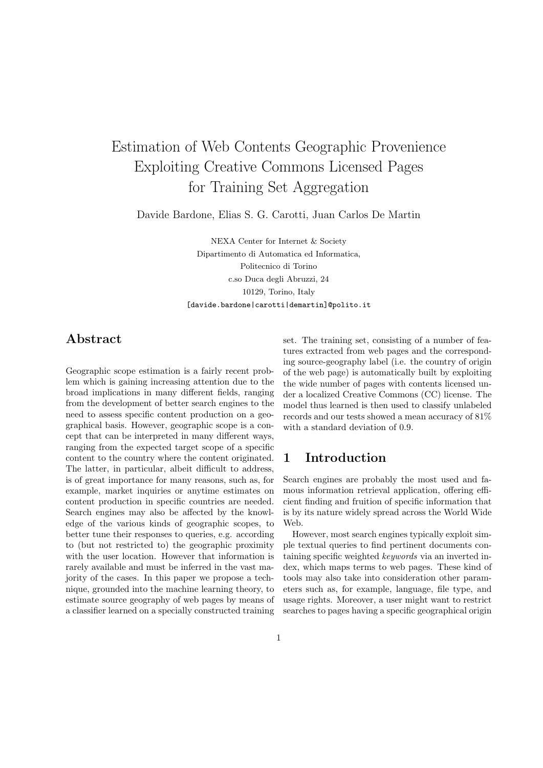# Estimation of Web Contents Geographic Provenience Exploiting Creative Commons Licensed Pages for Training Set Aggregation

Davide Bardone, Elias S. G. Carotti, Juan Carlos De Martin

NEXA Center for Internet & Society Dipartimento di Automatica ed Informatica, Politecnico di Torino c.so Duca degli Abruzzi, 24 10129, Torino, Italy [davide.bardone|carotti|demartin]@polito.it

### Abstract

Geographic scope estimation is a fairly recent problem which is gaining increasing attention due to the broad implications in many different fields, ranging from the development of better search engines to the need to assess specific content production on a geographical basis. However, geographic scope is a concept that can be interpreted in many different ways, ranging from the expected target scope of a specific content to the country where the content originated. The latter, in particular, albeit difficult to address, is of great importance for many reasons, such as, for example, market inquiries or anytime estimates on content production in specific countries are needed. Search engines may also be affected by the knowledge of the various kinds of geographic scopes, to better tune their responses to queries, e.g. according to (but not restricted to) the geographic proximity with the user location. However that information is rarely available and must be inferred in the vast majority of the cases. In this paper we propose a technique, grounded into the machine learning theory, to estimate source geography of web pages by means of a classifier learned on a specially constructed training set. The training set, consisting of a number of features extracted from web pages and the corresponding source-geography label (i.e. the country of origin of the web page) is automatically built by exploiting the wide number of pages with contents licensed under a localized Creative Commons (CC) license. The model thus learned is then used to classify unlabeled records and our tests showed a mean accuracy of 81% with a standard deviation of 0.9.

### 1 Introduction

Search engines are probably the most used and famous information retrieval application, offering efficient finding and fruition of specific information that is by its nature widely spread across the World Wide Web.

However, most search engines typically exploit simple textual queries to find pertinent documents containing specific weighted keywords via an inverted index, which maps terms to web pages. These kind of tools may also take into consideration other parameters such as, for example, language, file type, and usage rights. Moreover, a user might want to restrict searches to pages having a specific geographical origin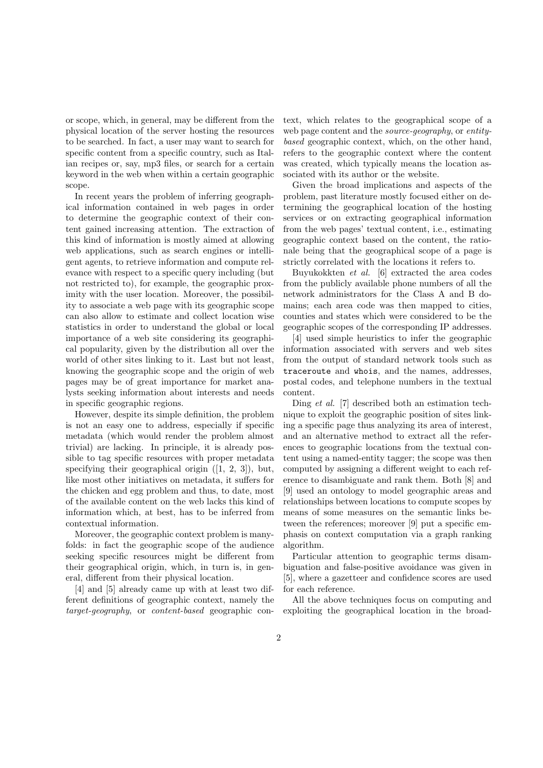or scope, which, in general, may be different from the physical location of the server hosting the resources to be searched. In fact, a user may want to search for specific content from a specific country, such as Italian recipes or, say, mp3 files, or search for a certain keyword in the web when within a certain geographic scope.

In recent years the problem of inferring geographical information contained in web pages in order to determine the geographic context of their content gained increasing attention. The extraction of this kind of information is mostly aimed at allowing web applications, such as search engines or intelligent agents, to retrieve information and compute relevance with respect to a specific query including (but not restricted to), for example, the geographic proximity with the user location. Moreover, the possibility to associate a web page with its geographic scope can also allow to estimate and collect location wise statistics in order to understand the global or local importance of a web site considering its geographical popularity, given by the distribution all over the world of other sites linking to it. Last but not least, knowing the geographic scope and the origin of web pages may be of great importance for market analysts seeking information about interests and needs in specific geographic regions.

However, despite its simple definition, the problem is not an easy one to address, especially if specific metadata (which would render the problem almost trivial) are lacking. In principle, it is already possible to tag specific resources with proper metadata specifying their geographical origin ([1, 2, 3]), but, like most other initiatives on metadata, it suffers for the chicken and egg problem and thus, to date, most of the available content on the web lacks this kind of information which, at best, has to be inferred from contextual information.

Moreover, the geographic context problem is manyfolds: in fact the geographic scope of the audience seeking specific resources might be different from their geographical origin, which, in turn is, in general, different from their physical location.

[4] and [5] already came up with at least two different definitions of geographic context, namely the target-geography, or content-based geographic context, which relates to the geographical scope of a web page content and the source-geography, or entitybased geographic context, which, on the other hand, refers to the geographic context where the content was created, which typically means the location associated with its author or the website.

Given the broad implications and aspects of the problem, past literature mostly focused either on determining the geographical location of the hosting services or on extracting geographical information from the web pages' textual content, i.e., estimating geographic context based on the content, the rationale being that the geographical scope of a page is strictly correlated with the locations it refers to.

Buyukokkten et al. [6] extracted the area codes from the publicly available phone numbers of all the network administrators for the Class A and B domains; each area code was then mapped to cities, counties and states which were considered to be the geographic scopes of the corresponding IP addresses.

[4] used simple heuristics to infer the geographic information associated with servers and web sites from the output of standard network tools such as traceroute and whois, and the names, addresses, postal codes, and telephone numbers in the textual content.

Ding et al. [7] described both an estimation technique to exploit the geographic position of sites linking a specific page thus analyzing its area of interest, and an alternative method to extract all the references to geographic locations from the textual content using a named-entity tagger; the scope was then computed by assigning a different weight to each reference to disambiguate and rank them. Both [8] and [9] used an ontology to model geographic areas and relationships between locations to compute scopes by means of some measures on the semantic links between the references; moreover [9] put a specific emphasis on context computation via a graph ranking algorithm.

Particular attention to geographic terms disambiguation and false-positive avoidance was given in [5], where a gazetteer and confidence scores are used for each reference.

All the above techniques focus on computing and exploiting the geographical location in the broad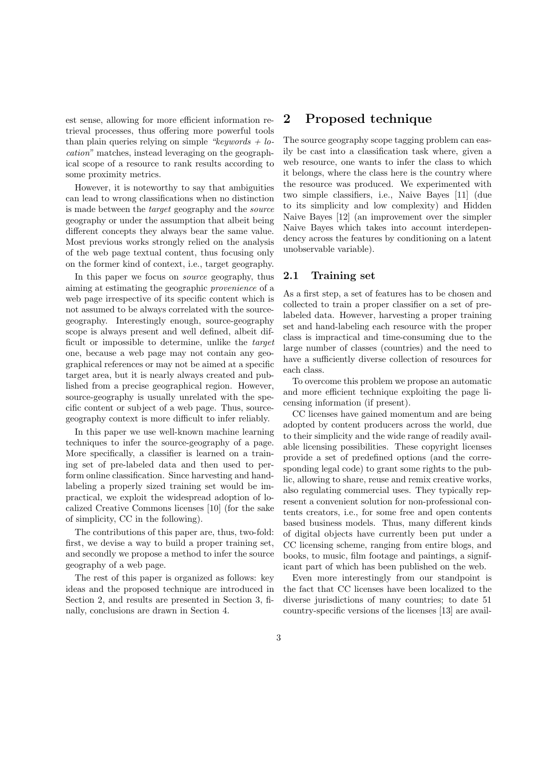est sense, allowing for more efficient information retrieval processes, thus offering more powerful tools than plain queries relying on simple "keywords  $+$  location" matches, instead leveraging on the geographical scope of a resource to rank results according to some proximity metrics.

However, it is noteworthy to say that ambiguities can lead to wrong classifications when no distinction is made between the target geography and the source geography or under the assumption that albeit being different concepts they always bear the same value. Most previous works strongly relied on the analysis of the web page textual content, thus focusing only on the former kind of context, i.e., target geography.

In this paper we focus on *source* geography, thus aiming at estimating the geographic provenience of a web page irrespective of its specific content which is not assumed to be always correlated with the sourcegeography. Interestingly enough, source-geography scope is always present and well defined, albeit difficult or impossible to determine, unlike the target one, because a web page may not contain any geographical references or may not be aimed at a specific target area, but it is nearly always created and published from a precise geographical region. However, source-geography is usually unrelated with the specific content or subject of a web page. Thus, sourcegeography context is more difficult to infer reliably.

In this paper we use well-known machine learning techniques to infer the source-geography of a page. More specifically, a classifier is learned on a training set of pre-labeled data and then used to perform online classification. Since harvesting and handlabeling a properly sized training set would be impractical, we exploit the widespread adoption of localized Creative Commons licenses [10] (for the sake of simplicity, CC in the following).

The contributions of this paper are, thus, two-fold: first, we devise a way to build a proper training set, and secondly we propose a method to infer the source geography of a web page.

The rest of this paper is organized as follows: key ideas and the proposed technique are introduced in Section 2, and results are presented in Section 3, finally, conclusions are drawn in Section 4.

### 2 Proposed technique

The source geography scope tagging problem can easily be cast into a classification task where, given a web resource, one wants to infer the class to which it belongs, where the class here is the country where the resource was produced. We experimented with two simple classifiers, i.e., Naive Bayes [11] (due to its simplicity and low complexity) and Hidden Naive Bayes [12] (an improvement over the simpler Naive Bayes which takes into account interdependency across the features by conditioning on a latent unobservable variable).

#### 2.1 Training set

As a first step, a set of features has to be chosen and collected to train a proper classifier on a set of prelabeled data. However, harvesting a proper training set and hand-labeling each resource with the proper class is impractical and time-consuming due to the large number of classes (countries) and the need to have a sufficiently diverse collection of resources for each class.

To overcome this problem we propose an automatic and more efficient technique exploiting the page licensing information (if present).

CC licenses have gained momentum and are being adopted by content producers across the world, due to their simplicity and the wide range of readily available licensing possibilities. These copyright licenses provide a set of predefined options (and the corresponding legal code) to grant some rights to the public, allowing to share, reuse and remix creative works, also regulating commercial uses. They typically represent a convenient solution for non-professional contents creators, i.e., for some free and open contents based business models. Thus, many different kinds of digital objects have currently been put under a CC licensing scheme, ranging from entire blogs, and books, to music, film footage and paintings, a significant part of which has been published on the web.

Even more interestingly from our standpoint is the fact that CC licenses have been localized to the diverse jurisdictions of many countries; to date 51 country-specific versions of the licenses [13] are avail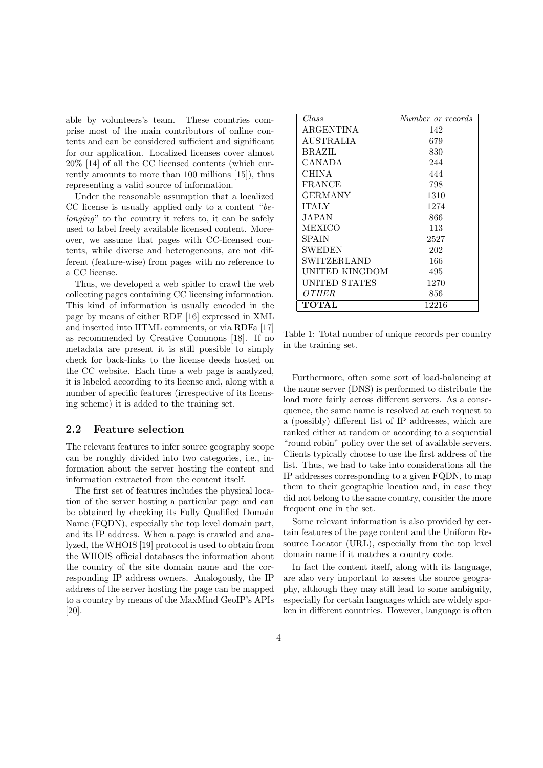able by volunteers's team. These countries comprise most of the main contributors of online contents and can be considered sufficient and significant for our application. Localized licenses cover almost 20% [14] of all the CC licensed contents (which currently amounts to more than 100 millions [15]), thus representing a valid source of information.

Under the reasonable assumption that a localized CC license is usually applied only to a content "belonging" to the country it refers to, it can be safely used to label freely available licensed content. Moreover, we assume that pages with CC-licensed contents, while diverse and heterogeneous, are not different (feature-wise) from pages with no reference to a CC license.

Thus, we developed a web spider to crawl the web collecting pages containing CC licensing information. This kind of information is usually encoded in the page by means of either RDF [16] expressed in XML and inserted into HTML comments, or via RDFa [17] as recommended by Creative Commons [18]. If no metadata are present it is still possible to simply check for back-links to the license deeds hosted on the CC website. Each time a web page is analyzed, it is labeled according to its license and, along with a number of specific features (irrespective of its licensing scheme) it is added to the training set.

#### 2.2 Feature selection

The relevant features to infer source geography scope can be roughly divided into two categories, i.e., information about the server hosting the content and information extracted from the content itself.

The first set of features includes the physical location of the server hosting a particular page and can be obtained by checking its Fully Qualified Domain Name (FQDN), especially the top level domain part, and its IP address. When a page is crawled and analyzed, the WHOIS [19] protocol is used to obtain from the WHOIS official databases the information about the country of the site domain name and the corresponding IP address owners. Analogously, the IP address of the server hosting the page can be mapped to a country by means of the MaxMind GeoIP's APIs [20].

| $\mathit{Class}$ | Number or records |
|------------------|-------------------|
| <b>ARGENTINA</b> | 142               |
| AUSTRALIA        | 679               |
| BRAZIL           | 830               |
| CANADA           | 244               |
| CHINA            | 444               |
| <b>FRANCE</b>    | 798               |
| GERMANY          | 1310              |
| <b>ITALY</b>     | 1274              |
| JAPAN            | 866               |
| MEXICO           | 113               |
| SPAIN            | 2527              |
| SWEDEN           | 202               |
| SWITZERLAND      | 166               |
| UNITED KINGDOM   | 495               |
| UNITED STATES    | 1270              |
| OTHER            | 856               |
| TOTAL            | 12216             |

Table 1: Total number of unique records per country in the training set.

Furthermore, often some sort of load-balancing at the name server (DNS) is performed to distribute the load more fairly across different servers. As a consequence, the same name is resolved at each request to a (possibly) different list of IP addresses, which are ranked either at random or according to a sequential "round robin" policy over the set of available servers. Clients typically choose to use the first address of the list. Thus, we had to take into considerations all the IP addresses corresponding to a given FQDN, to map them to their geographic location and, in case they did not belong to the same country, consider the more frequent one in the set.

Some relevant information is also provided by certain features of the page content and the Uniform Resource Locator (URL), especially from the top level domain name if it matches a country code.

In fact the content itself, along with its language, are also very important to assess the source geography, although they may still lead to some ambiguity, especially for certain languages which are widely spoken in different countries. However, language is often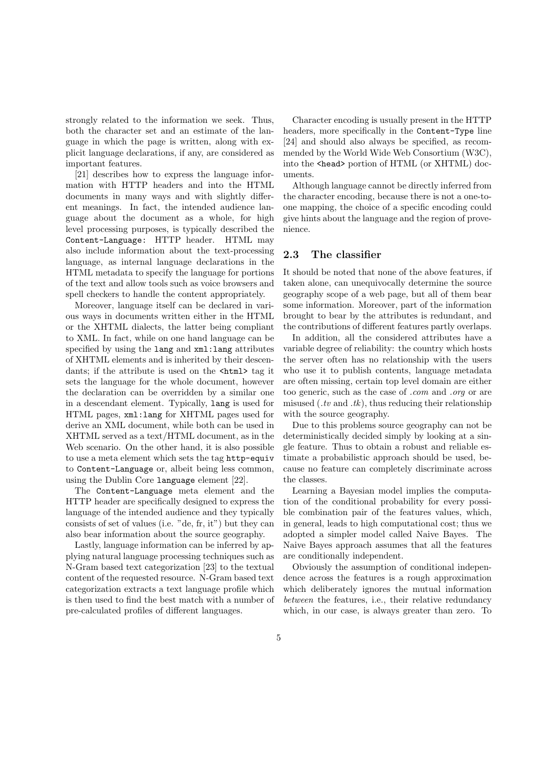strongly related to the information we seek. Thus, both the character set and an estimate of the language in which the page is written, along with explicit language declarations, if any, are considered as important features.

[21] describes how to express the language information with HTTP headers and into the HTML documents in many ways and with slightly different meanings. In fact, the intended audience language about the document as a whole, for high level processing purposes, is typically described the Content-Language: HTTP header. HTML may also include information about the text-processing language, as internal language declarations in the HTML metadata to specify the language for portions of the text and allow tools such as voice browsers and spell checkers to handle the content appropriately.

Moreover, language itself can be declared in various ways in documents written either in the HTML or the XHTML dialects, the latter being compliant to XML. In fact, while on one hand language can be specified by using the lang and xml:lang attributes of XHTML elements and is inherited by their descendants; if the attribute is used on the  $\text{thtn1}$  tag it sets the language for the whole document, however the declaration can be overridden by a similar one in a descendant element. Typically, lang is used for HTML pages, xml:lang for XHTML pages used for derive an XML document, while both can be used in XHTML served as a text/HTML document, as in the Web scenario. On the other hand, it is also possible to use a meta element which sets the tag http-equiv to Content-Language or, albeit being less common, using the Dublin Core language element [22].

The Content-Language meta element and the HTTP header are specifically designed to express the language of the intended audience and they typically consists of set of values (i.e. "de, fr, it") but they can also bear information about the source geography.

Lastly, language information can be inferred by applying natural language processing techniques such as N-Gram based text categorization [23] to the textual content of the requested resource. N-Gram based text categorization extracts a text language profile which is then used to find the best match with a number of pre-calculated profiles of different languages.

Character encoding is usually present in the HTTP headers, more specifically in the Content-Type line [24] and should also always be specified, as recommended by the World Wide Web Consortium (W3C), into the <head> portion of HTML (or XHTML) documents.

Although language cannot be directly inferred from the character encoding, because there is not a one-toone mapping, the choice of a specific encoding could give hints about the language and the region of provenience.

#### 2.3 The classifier

It should be noted that none of the above features, if taken alone, can unequivocally determine the source geography scope of a web page, but all of them bear some information. Moreover, part of the information brought to bear by the attributes is redundant, and the contributions of different features partly overlaps.

In addition, all the considered attributes have a variable degree of reliability: the country which hosts the server often has no relationship with the users who use it to publish contents, language metadata are often missing, certain top level domain are either too generic, such as the case of .com and .org or are misused  $(xv \text{ and } tk)$ , thus reducing their relationship with the source geography.

Due to this problems source geography can not be deterministically decided simply by looking at a single feature. Thus to obtain a robust and reliable estimate a probabilistic approach should be used, because no feature can completely discriminate across the classes.

Learning a Bayesian model implies the computation of the conditional probability for every possible combination pair of the features values, which, in general, leads to high computational cost; thus we adopted a simpler model called Naive Bayes. The Naive Bayes approach assumes that all the features are conditionally independent.

Obviously the assumption of conditional independence across the features is a rough approximation which deliberately ignores the mutual information between the features, i.e., their relative redundancy which, in our case, is always greater than zero. To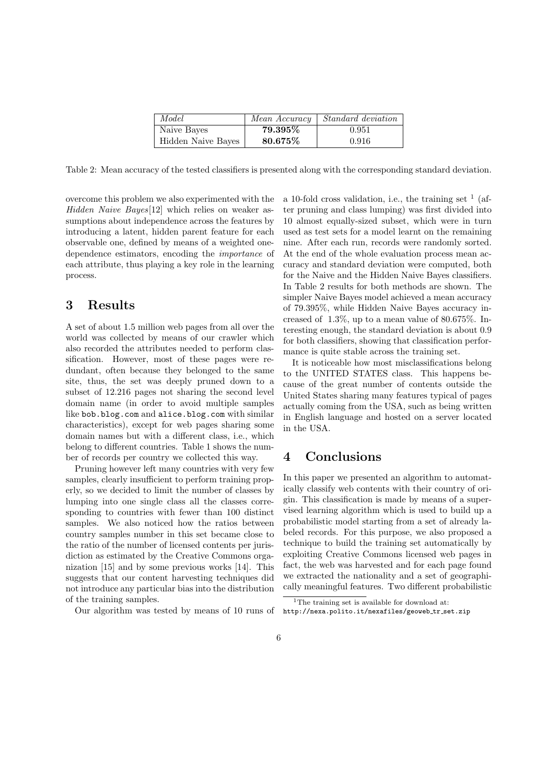| Model              | Mean Accuracy | <i>Standard deviation</i> |
|--------------------|---------------|---------------------------|
| Naive Bayes        | 79.395%       | 0.951                     |
| Hidden Naive Bayes | 80.675%       | 0.916                     |

Table 2: Mean accuracy of the tested classifiers is presented along with the corresponding standard deviation.

overcome this problem we also experimented with the Hidden Naive Bayes[12] which relies on weaker assumptions about independence across the features by introducing a latent, hidden parent feature for each observable one, defined by means of a weighted onedependence estimators, encoding the importance of each attribute, thus playing a key role in the learning process.

### 3 Results

A set of about 1.5 million web pages from all over the world was collected by means of our crawler which also recorded the attributes needed to perform classification. However, most of these pages were redundant, often because they belonged to the same site, thus, the set was deeply pruned down to a subset of 12.216 pages not sharing the second level domain name (in order to avoid multiple samples like bob.blog.com and alice.blog.com with similar characteristics), except for web pages sharing some domain names but with a different class, i.e., which belong to different countries. Table 1 shows the number of records per country we collected this way.

Pruning however left many countries with very few samples, clearly insufficient to perform training properly, so we decided to limit the number of classes by lumping into one single class all the classes corresponding to countries with fewer than 100 distinct samples. We also noticed how the ratios between country samples number in this set became close to the ratio of the number of licensed contents per jurisdiction as estimated by the Creative Commons organization [15] and by some previous works [14]. This suggests that our content harvesting techniques did not introduce any particular bias into the distribution of the training samples.

Our algorithm was tested by means of 10 runs of

a 10-fold cross validation, i.e., the training set  $<sup>1</sup>$  (af-</sup> ter pruning and class lumping) was first divided into 10 almost equally-sized subset, which were in turn used as test sets for a model learnt on the remaining nine. After each run, records were randomly sorted. At the end of the whole evaluation process mean accuracy and standard deviation were computed, both for the Naive and the Hidden Naive Bayes classifiers. In Table 2 results for both methods are shown. The simpler Naive Bayes model achieved a mean accuracy of 79.395%, while Hidden Naive Bayes accuracy increased of 1.3%, up to a mean value of 80.675%. Interesting enough, the standard deviation is about 0.9 for both classifiers, showing that classification performance is quite stable across the training set.

It is noticeable how most misclassifications belong to the UNITED STATES class. This happens because of the great number of contents outside the United States sharing many features typical of pages actually coming from the USA, such as being written in English language and hosted on a server located in the USA.

## 4 Conclusions

In this paper we presented an algorithm to automatically classify web contents with their country of origin. This classification is made by means of a supervised learning algorithm which is used to build up a probabilistic model starting from a set of already labeled records. For this purpose, we also proposed a technique to build the training set automatically by exploiting Creative Commons licensed web pages in fact, the web was harvested and for each page found we extracted the nationality and a set of geographically meaningful features. Two different probabilistic

<sup>&</sup>lt;sup>1</sup>The training set is available for download at: http://nexa.polito.it/nexafiles/geoweb\_tr\_set.zip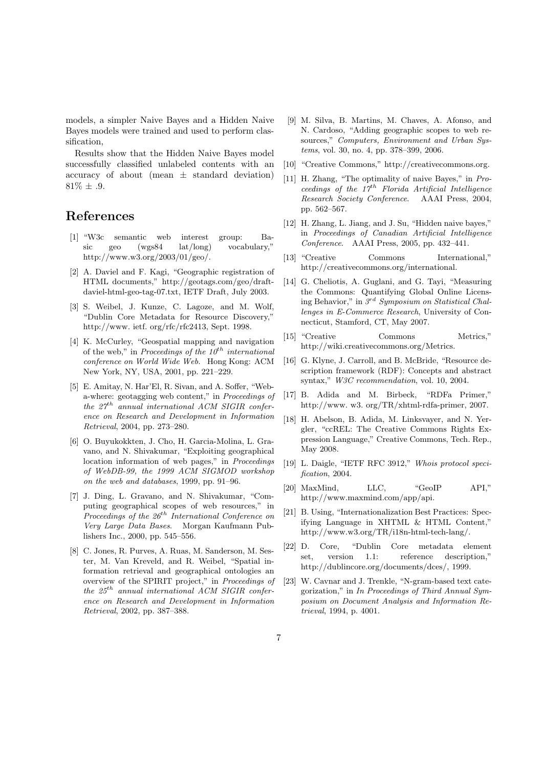models, a simpler Naive Bayes and a Hidden Naive Bayes models were trained and used to perform classification,

Results show that the Hidden Naive Bayes model successfully classified unlabeled contents with an accuracy of about (mean  $\pm$  standard deviation)  $81\% \pm .9.$ 

## References

- [1] "W3c semantic web interest group: Basic geo (wgs84 lat/long) vocabulary," http://www.w3.org/2003/01/geo/.
- [2] A. Daviel and F. Kagi, "Geographic registration of HTML documents," http://geotags.com/geo/draftdaviel-html-geo-tag-07.txt, IETF Draft, July 2003.
- [3] S. Weibel, J. Kunze, C. Lagoze, and M. Wolf, "Dublin Core Metadata for Resource Discovery," http://www. ietf. org/rfc/rfc2413, Sept. 1998.
- [4] K. McCurley, "Geospatial mapping and navigation of the web," in Proceedings of the  $10^{th}$  international conference on World Wide Web. Hong Kong: ACM New York, NY, USA, 2001, pp. 221–229.
- [5] E. Amitay, N. Har'El, R. Sivan, and A. Soffer, "Weba-where: geotagging web content," in Proceedings of the  $27<sup>th</sup>$  annual international ACM SIGIR conference on Research and Development in Information Retrieval, 2004, pp. 273–280.
- [6] O. Buyukokkten, J. Cho, H. Garcia-Molina, L. Gravano, and N. Shivakumar, "Exploiting geographical location information of web pages," in *Proceedings* of WebDB-99, the 1999 ACM SIGMOD workshop on the web and databases, 1999, pp. 91–96.
- [7] J. Ding, L. Gravano, and N. Shivakumar, "Computing geographical scopes of web resources," in Proceedings of the  $26<sup>th</sup>$  International Conference on Very Large Data Bases. Morgan Kaufmann Publishers Inc., 2000, pp. 545–556.
- [8] C. Jones, R. Purves, A. Ruas, M. Sanderson, M. Sester, M. Van Kreveld, and R. Weibel, "Spatial information retrieval and geographical ontologies an overview of the SPIRIT project," in Proceedings of the  $25<sup>th</sup>$  annual international ACM SIGIR conference on Research and Development in Information Retrieval, 2002, pp. 387–388.
- [9] M. Silva, B. Martins, M. Chaves, A. Afonso, and N. Cardoso, "Adding geographic scopes to web resources," Computers, Environment and Urban Systems, vol. 30, no. 4, pp. 378–399, 2006.
- [10] "Creative Commons," http://creativecommons.org.
- [11] H. Zhang, "The optimality of naive Bayes," in Proceedings of the  $17<sup>th</sup>$  Florida Artificial Intelligence Research Society Conference. AAAI Press, 2004, pp. 562–567.
- [12] H. Zhang, L. Jiang, and J. Su, "Hidden naive bayes," in Proceedings of Canadian Artificial Intelligence Conference. AAAI Press, 2005, pp. 432–441.
- [13] "Creative Commons International," http://creativecommons.org/international.
- [14] G. Cheliotis, A. Guglani, and G. Tayi, "Measuring the Commons: Quantifying Global Online Licensing Behavior," in  $3^{rd}$  Symposium on Statistical Challenges in E-Commerce Research, University of Connecticut, Stamford, CT, May 2007.
- [15] "Creative Commons Metrics," http://wiki.creativecommons.org/Metrics.
- [16] G. Klyne, J. Carroll, and B. McBride, "Resource description framework (RDF): Concepts and abstract syntax," W3C recommendation, vol. 10, 2004.
- [17] B. Adida and M. Birbeck, "RDFa Primer," http://www. w3. org/TR/xhtml-rdfa-primer, 2007.
- [18] H. Abelson, B. Adida, M. Linksvayer, and N. Yergler, "ccREL: The Creative Commons Rights Expression Language," Creative Commons, Tech. Rep., May 2008.
- [19] L. Daigle, "IETF RFC 3912," Whois protocol specification, 2004.
- [20] MaxMind, LLC, "GeoIP API," http://www.maxmind.com/app/api.
- [21] B. Using, "Internationalization Best Practices: Specifying Language in XHTML & HTML Content," http://www.w3.org/TR/i18n-html-tech-lang/.
- [22] D. Core, "Dublin Core metadata element set, version 1.1: reference description," http://dublincore.org/documents/dces/, 1999.
- [23] W. Cavnar and J. Trenkle, "N-gram-based text categorization," in In Proceedings of Third Annual Symposium on Document Analysis and Information Retrieval, 1994, p. 4001.